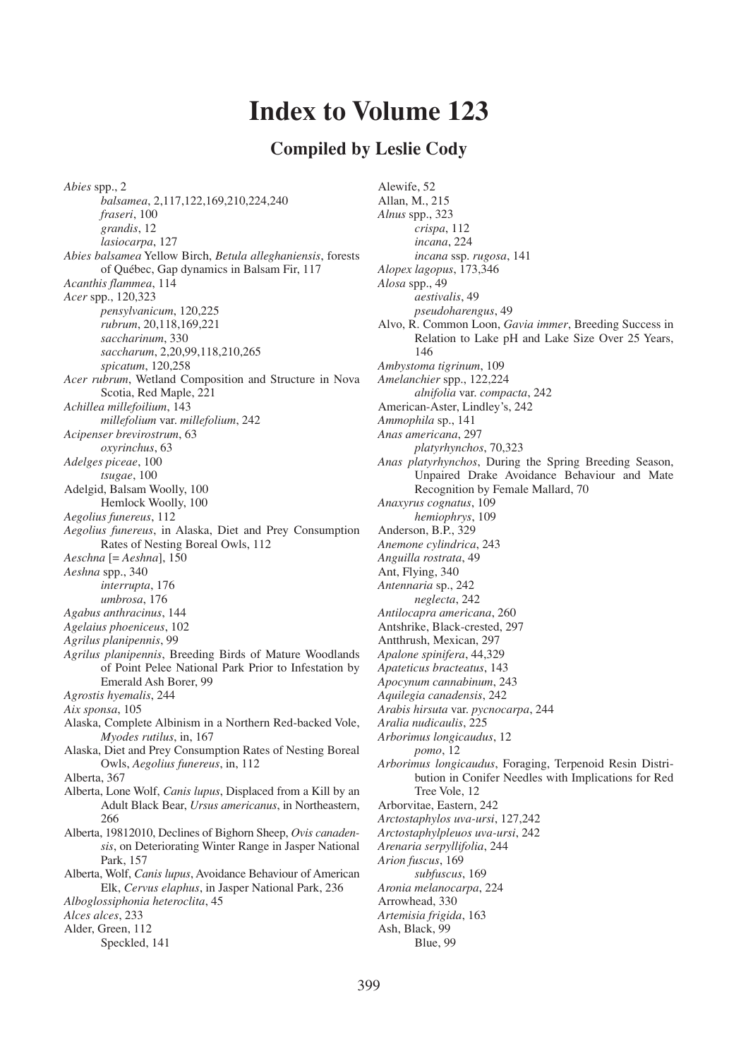# **Index to Volume 123**

## **Compiled by Leslie Cody**

*Abies* spp., 2 *balsamea*, 2,117,122,169,210,224,240 *fraseri*, 100 *grandis*, 12 *lasiocarpa*, 127 *Abies balsamea* Yellow Birch, *Betula alleghaniensis*, forests of Québec, Gap dynamics in Balsam Fir, 117 *Acanthis flammea*, 114 *Acer* spp., 120,323 *pensylvanicum*, 120,225 *rubrum*, 20,118,169,221 *saccharinum*, 330 *saccharum*, 2,20,99,118,210,265 *spicatum*, 120,258 *Acer rubrum*, Wetland Composition and Structure in Nova Scotia, Red Maple, 221 *Achillea millefoilium*, 143 *millefolium* var. *millefolium*, 242 *Acipenser brevirostrum*, 63 *oxyrinchus*, 63 *Adelges piceae*, 100 *tsugae*, 100 Adelgid, Balsam Woolly, 100 Hemlock Woolly, 100 *Aegolius funereus*, 112 *Aegolius funereus*, in Alaska, Diet and Prey Consumption Rates of Nesting Boreal Owls, 112 *Aeschna* [= *Aeshna*], 150 *Aeshna* spp., 340 *interrupta*, 176 *umbrosa*, 176 *Agabus anthracinus*, 144 *Agelaius phoeniceus*, 102 *Agrilus planipennis*, 99 *Agrilus planipennis*, Breeding Birds of Mature Woodlands of Point Pelee National Park Prior to Infestation by Emerald Ash Borer, 99 *Agrostis hyemalis*, 244 *Aix sponsa*, 105 Alaska, Complete Albinism in a Northern Red-backed Vole, *Myodes rutilus*, in, 167 Alaska, Diet and Prey Consumption Rates of Nesting Boreal Owls, *Aegolius funereus*, in, 112 Alberta, 367 Alberta, Lone Wolf, *Canis lupus*, Displaced from a Kill by an Adult Black Bear, *Ursus americanus*, in Northeastern, 266 Alberta, 19812010, Declines of Bighorn Sheep, *Ovis canadensis*, on Deteriorating Winter Range in Jasper National Park, 157 Alberta, Wolf, *Canis lupus*, Avoidance Behaviour of American Elk, *Cervus elaphus*, in Jasper National Park, 236 *Alboglossiphonia heteroclita*, 45 *Alces alces*, 233 Alder, Green, 112 Speckled, 141

Alewife, 52 Allan, M., 215 *Alnus* spp., 323 *crispa*, 112 *incana*, 224 *incana* ssp. *rugosa*, 141 *Alopex lagopus*, 173,346 *Alosa* spp., 49 *aestivalis*, 49 *pseudoharengus*, 49 Alvo, R. Common Loon, *Gavia immer*, Breeding Success in Relation to Lake pH and Lake Size Over 25 Years, 146 *Ambystoma tigrinum*, 109 *Amelanchier* spp., 122,224 *alnifolia* var. *compacta*, 242 American-Aster, Lindley's, 242 *Ammophila* sp., 141 *Anas americana*, 297 *platyrhynchos*, 70,323 *Anas platyrhynchos*, During the Spring Breeding Season, Unpaired Drake Avoidance Behaviour and Mate Recognition by Female Mallard, 70 *Anaxyrus cognatus*, 109 *hemiophrys*, 109 Anderson, B.P., 329 *Anemone cylindrica*, 243 *Anguilla rostrata*, 49 Ant, Flying, 340 *Antennaria* sp., 242 *neglecta*, 242 *Antilocapra americana*, 260 Antshrike, Black-crested, 297 Antthrush, Mexican, 297 *Apalone spinifera*, 44,329 *Apateticus bracteatus*, 143 *Apocynum cannabinum*, 243 *Aquilegia canadensis*, 242 *Arabis hirsuta* var. *pycnocarpa*, 244 *Aralia nudicaulis*, 225 *Arborimus longicaudus*, 12 *pomo*, 12 *Arborimus longicaudus*, Foraging, Terpenoid Resin Distribution in Conifer Needles with Implications for Red Tree Vole, 12 Arborvitae, Eastern, 242 *Arctostaphylos uva-ursi*, 127,242 *Arctostaphylpleuos uva-ursi*, 242 *Arenaria serpyllifolia*, 244 *Arion fuscus*, 169 *subfuscus*, 169 *Aronia melanocarpa*, 224 Arrowhead, 330 *Artemisia frigida*, 163 Ash, Black, 99 Blue, 99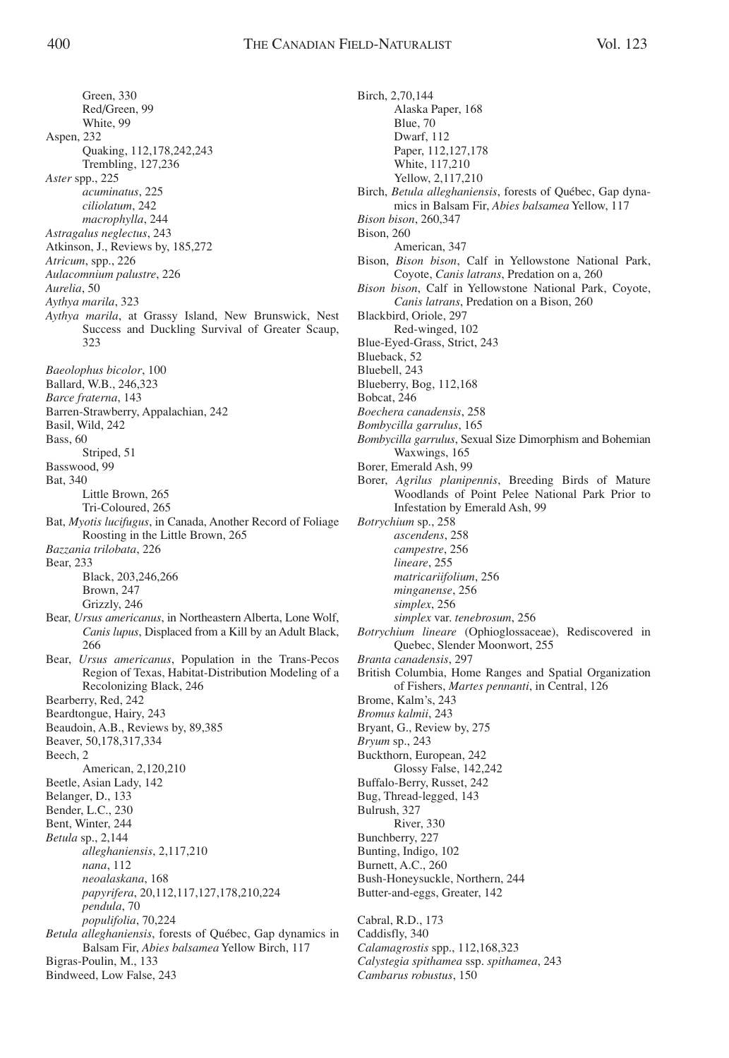Green, 330 Red/Green, 99 White, 99 Aspen, 232 Quaking, 112,178,242,243 Trembling, 127,236 *Aster* spp., 225 *acuminatus*, 225 *ciliolatum*, 242 *macrophylla*, 244 *Astragalus neglectus*, 243 Atkinson, J., Reviews by, 185,272 *Atricum*, spp., 226 *Aulacomnium palustre*, 226 *Aurelia*, 50 *Aythya marila*, 323 *Aythya marila*, at Grassy Island, New Brunswick, Nest Success and Duckling Survival of Greater Scaup, 323 *Baeolophus bicolor*, 100 Ballard, W.B., 246,323 *Barce fraterna*, 143 Barren-Strawberry, Appalachian, 242 Basil, Wild, 242 Bass, 60 Striped, 51 Basswood, 99 Bat, 340 Little Brown, 265 Tri-Coloured, 265 Bat, *Myotis lucifugus*, in Canada, Another Record of Foliage Roosting in the Little Brown, 265 *Bazzania trilobata*, 226 Bear, 233 Black, 203,246,266 Brown, 247 Grizzly, 246 Bear, *Ursus americanus*, in Northeastern Alberta, Lone Wolf, *Canis lupus*, Displaced from a Kill by an Adult Black, 266 Bear, *Ursus americanus*, Population in the Trans-Pecos Region of Texas, Habitat-Distribution Modeling of a Recolonizing Black, 246 Bearberry, Red, 242 Beardtongue, Hairy, 243 Beaudoin, A.B., Reviews by, 89,385 Beaver, 50,178,317,334 Beech, 2 American, 2,120,210 Beetle, Asian Lady, 142 Belanger, D., 133 Bender, L.C., 230 Bent, Winter, 244 *Betula* sp., 2,144 *alleghaniensis*, 2,117,210 *nana*, 112 *neoalaskana*, 168 *papyrifera*, 20,112,117,127,178,210,224 *pendula*, 70 *populifolia*, 70,224 *Betula alleghaniensis*, forests of Québec, Gap dynamics in Balsam Fir, *Abies balsamea* Yellow Birch, 117 Bigras-Poulin, M., 133 Bindweed, Low False, 243

Birch, 2,70,144 Alaska Paper, 168 Blue, 70 Dwarf, 112 Paper, 112,127,178 White, 117,210 Yellow, 2,117,210 Birch, *Betula alleghaniensis*, forests of Québec, Gap dynamics in Balsam Fir, *Abies balsamea* Yellow, 117 *Bison bison*, 260,347 Bison, 260 American, 347 Bison, *Bison bison*, Calf in Yellowstone National Park, Coyote, *Canis latrans*, Predation on a, 260 *Bison bison*, Calf in Yellowstone National Park, Coyote, *Canis latrans*, Predation on a Bison, 260 Blackbird, Oriole, 297 Red-winged, 102 Blue-Eyed-Grass, Strict, 243 Blueback, 52 Bluebell, 243 Blueberry, Bog, 112,168 Bobcat, 246 *Boechera canadensis*, 258 *Bombycilla garrulus*, 165 *Bombycilla garrulus*, Sexual Size Dimorphism and Bohemian Waxwings, 165 Borer, Emerald Ash, 99 Borer, *Agrilus planipennis*, Breeding Birds of Mature Woodlands of Point Pelee National Park Prior to Infestation by Emerald Ash, 99 *Botrychium* sp., 258 *ascendens*, 258 *campestre*, 256 *lineare*, 255 *matricariifolium*, 256 *minganense*, 256 *simplex*, 256 *simplex* var. *tenebrosum*, 256 *Botrychium lineare* (Ophioglossaceae), Rediscovered in Quebec, Slender Moonwort, 255 *Branta canadensis*, 297 British Columbia, Home Ranges and Spatial Organization of Fishers, *Martes pennanti*, in Central, 126 Brome, Kalm's, 243 *Bromus kalmii*, 243 Bryant, G., Review by, 275 *Bryum* sp., 243 Buckthorn, European, 242 Glossy False, 142,242 Buffalo-Berry, Russet, 242 Bug, Thread-legged, 143 Bulrush, 327 River, 330 Bunchberry, 227 Bunting, Indigo, 102 Burnett, A.C., 260 Bush-Honeysuckle, Northern, 244 Butter-and-eggs, Greater, 142 Cabral, R.D., 173 Caddisfly, 340

*Calamagrostis* spp., 112,168,323 *Calystegia spithamea* ssp. *spithamea*, 243 *Cambarus robustus*, 150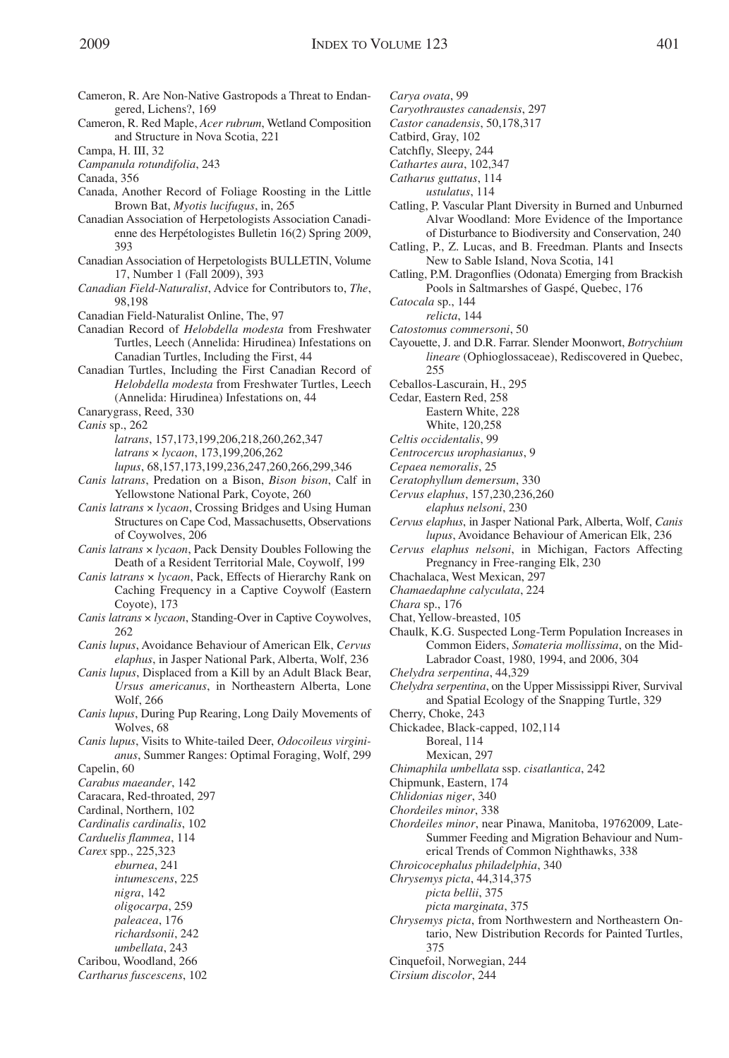- Cameron, R. Are Non-Native Gastropods a Threat to Endangered, Lichens?, 169
- Cameron, R. Red Maple, *Acer rubrum*, Wetland Composition and Structure in Nova Scotia, 221
- Campa, H. III, 32
- *Campanula rotundifolia*, 243
- Canada, 356
- Canada, Another Record of Foliage Roosting in the Little Brown Bat, *Myotis lucifugus*, in, 265
- Canadian Association of Herpetologists Association Canadienne des Herpétologistes Bulletin 16(2) Spring 2009, 393
- Canadian Association of Herpetologists BULLETIN, Volume 17, Number 1 (Fall 2009), 393
- *Canadian Field-Naturalist*, Advice for Contributors to, *The*, 98,198
- Canadian Field-Naturalist Online, The, 97
- Canadian Record of *Helobdella modesta* from Freshwater Turtles, Leech (Annelida: Hirudinea) Infestations on Canadian Turtles, Including the First, 44
- Canadian Turtles, Including the First Canadian Record of *Helobdella modesta* from Freshwater Turtles, Leech (Annelida: Hirudinea) Infestations on, 44
- Canarygrass, Reed, 330
- *Canis* sp., 262
	- *latrans*, 157,173,199,206,218,260,262,347 *latrans* × *lycaon*, 173,199,206,262 *lupus*, 68,157,173,199,236,247,260,266,299,346
- *Canis latrans*, Predation on a Bison, *Bison bison*, Calf in Yellowstone National Park, Coyote, 260
- *Canis latrans* × *lycaon*, Crossing Bridges and Using Human Structures on Cape Cod, Massachusetts, Observations of Coywolves, 206
- *Canis latrans* × *lycaon*, Pack Density Doubles Following the Death of a Resident Territorial Male, Coywolf, 199
- *Canis latrans* × *lycaon*, Pack, Effects of Hierarchy Rank on Caching Frequency in a Captive Coywolf (Eastern Coyote), 173
- *Canis latrans* × *lycaon*, Standing-Over in Captive Coywolves, 262
- *Canis lupus*, Avoidance Behaviour of American Elk, *Cervus elaphus*, in Jasper National Park, Alberta, Wolf, 236
- *Canis lupus*, Displaced from a Kill by an Adult Black Bear, *Ursus americanus*, in Northeastern Alberta, Lone Wolf, 266
- *Canis lupus*, During Pup Rearing, Long Daily Movements of Wolves, 68
- *Canis lupus*, Visits to White-tailed Deer, *Odocoileus virginianus*, Summer Ranges: Optimal Foraging, Wolf, 299
- Capelin, 60
- *Carabus maeander*, 142
- Caracara, Red-throated, 297
- Cardinal, Northern, 102
- *Cardinalis cardinalis*, 102
- *Carduelis flammea*, 114
- *Carex* spp., 225,323
	- *eburnea*, 241
	- *intumescens*, 225
	- *nigra*, 142
	- *oligocarpa*, 259
	- *paleacea*, 176
- *richardsonii*, 242
- *umbellata*, 243
- Caribou, Woodland, 266
- *Cartharus fuscescens*, 102
- *Carya ovata*, 99
- *Caryothraustes canadensis*, 297
- *Castor canadensis*, 50,178,317
- Catbird, Gray, 102
- Catchfly, Sleepy, 244
- *Cathartes aura*, 102,347 *Catharus guttatus*, 114
- *ustulatus*, 114
- Catling, P. Vascular Plant Diversity in Burned and Unburned Alvar Woodland: More Evidence of the Importance of Disturbance to Biodiversity and Conservation, 240
- Catling, P., Z. Lucas, and B. Freedman. Plants and Insects New to Sable Island, Nova Scotia, 141
- Catling, P.M. Dragonflies (Odonata) Emerging from Brackish Pools in Saltmarshes of Gaspé, Quebec, 176
- *Catocala* sp., 144
	- *relicta*, 144
- *Catostomus commersoni*, 50
- Cayouette, J. and D.R. Farrar. Slender Moonwort, *Botrychium lineare* (Ophioglossaceae), Rediscovered in Quebec, 255
- Ceballos-Lascurain, H., 295
- Cedar, Eastern Red, 258
	- Eastern White, 228
		- White, 120,258
- *Celtis occidentalis*, 99
- *Centrocercus urophasianus*, 9
- *Cepaea nemoralis*, 25
- *Ceratophyllum demersum*, 330
- *Cervus elaphus*, 157,230,236,260
- *elaphus nelsoni*, 230
- *Cervus elaphus*, in Jasper National Park, Alberta, Wolf, *Canis lupus*, Avoidance Behaviour of American Elk, 236
- *Cervus elaphus nelsoni*, in Michigan, Factors Affecting Pregnancy in Free-ranging Elk, 230
- Chachalaca, West Mexican, 297
- *Chamaedaphne calyculata*, 224

*Chara* sp., 176

- Chat, Yellow-breasted, 105
- Chaulk, K.G. Suspected Long-Term Population Increases in Common Eiders, *Somateria mollissima*, on the Mid-Labrador Coast, 1980, 1994, and 2006, 304
- *Chelydra serpentina*, 44,329
- *Chelydra serpentina*, on the Upper Mississippi River, Survival and Spatial Ecology of the Snapping Turtle, 329
- Cherry, Choke, 243
- Chickadee, Black-capped, 102,114
	- Boreal, 114
	- Mexican, 297
- *Chimaphila umbellata* ssp. *cisatlantica*, 242
- Chipmunk, Eastern, 174
- *Chlidonias niger*, 340
- *Chordeiles minor*, 338
- *Chordeiles minor*, near Pinawa, Manitoba, 19762009, Late-Summer Feeding and Migration Behaviour and Numerical Trends of Common Nighthawks, 338
- *Chroicocephalus philadelphia*, 340
- *Chrysemys picta*, 44,314,375
	- *picta bellii*, 375
	- *picta marginata*, 375
- *Chrysemys picta*, from Northwestern and Northeastern Ontario, New Distribution Records for Painted Turtles, 375
- Cinquefoil, Norwegian, 244
- *Cirsium discolor*, 244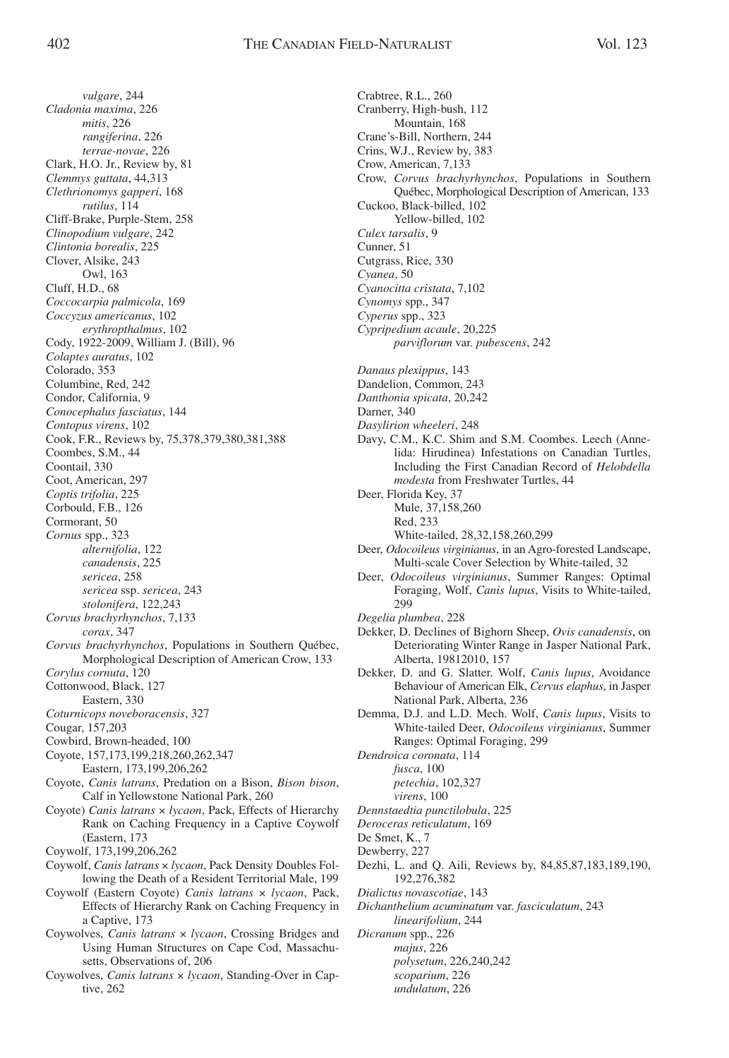*vulgare*, 244 *Cladonia maxima*, 226 *mitis*, 226 *rangiferina*, 226 *terrae-novae*, 226 Clark, H.O. Jr., Review by, 81 *Clemmys guttata*, 44,313 *Clethrionomys gapperi*, 168 *rutilus*, 114 Cliff-Brake, Purple-Stem, 258 *Clinopodium vulgare*, 242 *Clintonia borealis*, 225 Clover, Alsike, 243 Owl, 163 Cluff, H.D., 68 *Coccocarpia palmicola*, 169 *Coccyzus americanus*, 102 *erythropthalmus*, 102 Cody, 1922-2009, William J. (Bill), 96 *Colaptes auratus*, 102 Colorado, 353 Columbine, Red, 242 Condor, California, 9 *Conocephalus fasciatus*, 144 *Contopus virens*, 102 Cook, F.R., Reviews by, 75,378,379,380,381,388 Coombes, S.M., 44 Coontail, 330 Coot, American, 297 *Coptis trifolia*, 225 Corbould, F.B., 126 Cormorant, 50 *Cornus* spp., 323 *alternifolia*, 122 *canadensis*, 225 *sericea*, 258 *sericea* ssp. *sericea*, 243 *stolonifera*, 122,243 *Corvus brachyrhynchos*, 7,133 *corax*, 347 *Corvus brachyrhynchos*, Populations in Southern Québec, Morphological Description of American Crow, 133 *Corylus cornuta*, 120 Cottonwood, Black, 127 Eastern, 330 *Coturnicops noveboracensis*, 327 Cougar, 157,203 Cowbird, Brown-headed, 100 Coyote, 157,173,199,218,260,262,347 Eastern, 173,199,206,262 Coyote, *Canis latrans*, Predation on a Bison, *Bison bison*, Calf in Yellowstone National Park, 260 Coyote) *Canis latrans* × *lycaon*, Pack, Effects of Hierarchy Rank on Caching Frequency in a Captive Coywolf (Eastern, 173 Coywolf, 173,199,206,262 Coywolf, *Canis latrans* × *lycaon*, Pack Density Doubles Following the Death of a Resident Territorial Male, 199 Coywolf (Eastern Coyote) *Canis latrans* × *lycaon*, Pack, Effects of Hierarchy Rank on Caching Frequency in a Captive, 173 Coywolves, *Canis latrans* × *lycaon*, Crossing Bridges and Using Human Structures on Cape Cod, Massachusetts, Observations of, 206 Coywolves, *Canis latrans* × *lycaon*, Standing-Over in Cap-

tive, 262

Crabtree, R.L., 260 Cranberry, High-bush, 112 Mountain, 168 Crane's-Bill, Northern, 244 Crins, W.J., Review by, 383 Crow, American, 7,133 Crow, *Corvus brachyrhynchos*, Populations in Southern Québec, Morphological Description of American, 133 Cuckoo, Black-billed, 102 Yellow-billed, 102 *Culex tarsalis*, 9 Cunner, 51 Cutgrass, Rice, 330 *Cyanea*, 50 *Cyanocitta cristata*, 7,102 *Cynomys* spp., 347 *Cyperus* spp., 323 *Cypripedium acaule*, 20,225 *parviflorum* var. *pubescens*, 242 *Danaus plexippus*, 143 Dandelion, Common, 243 *Danthonia spicata*, 20,242 Darner, 340 *Dasylirion wheeleri*, 248 Davy, C.M., K.C. Shim and S.M. Coombes. Leech (Annelida: Hirudinea) Infestations on Canadian Turtles, Including the First Canadian Record of *Helobdella modesta* from Freshwater Turtles, 44 Deer, Florida Key, 37 Mule, 37,158,260 Red, 233 White-tailed, 28,32,158,260,299 Deer, *Odocoileus virginianus*, in an Agro-forested Landscape, Multi-scale Cover Selection by White-tailed, 32 Deer, *Odocoileus virginianus*, Summer Ranges: Optimal Foraging, Wolf, *Canis lupus*, Visits to White-tailed, 299 *Degelia plumbea*, 228 Dekker, D. Declines of Bighorn Sheep, *Ovis canadensis*, on Deteriorating Winter Range in Jasper National Park, Alberta, 19812010, 157 Dekker, D. and G. Slatter. Wolf, *Canis lupus*, Avoidance Behaviour of American Elk, *Cervus elaphus*, in Jasper National Park, Alberta, 236 Demma, D.J. and L.D. Mech. Wolf, *Canis lupus*, Visits to White-tailed Deer, *Odocoileus virginianus*, Summer Ranges: Optimal Foraging, 299 *Dendroica coronata*, 114 *fusca*, 100 *petechia*, 102,327 *virens*, 100 *Dennstaedtia punctilobula*, 225 *Deroceras reticulatum*, 169 De Smet, K., 7 Dewberry, 227 Dezhi, L. and Q. Aili, Reviews by, 84,85,87,183,189,190, 192,276,382 *Dialictus novascotiae*, 143 *Dichanthelium acuminatum* var. *fasciculatum*, 243 *linearifolium*, 244 *Dicranum* spp., 226 *majus*, 226

*polysetum*, 226,240,242 *scoparium*, 226

*undulatum*, 226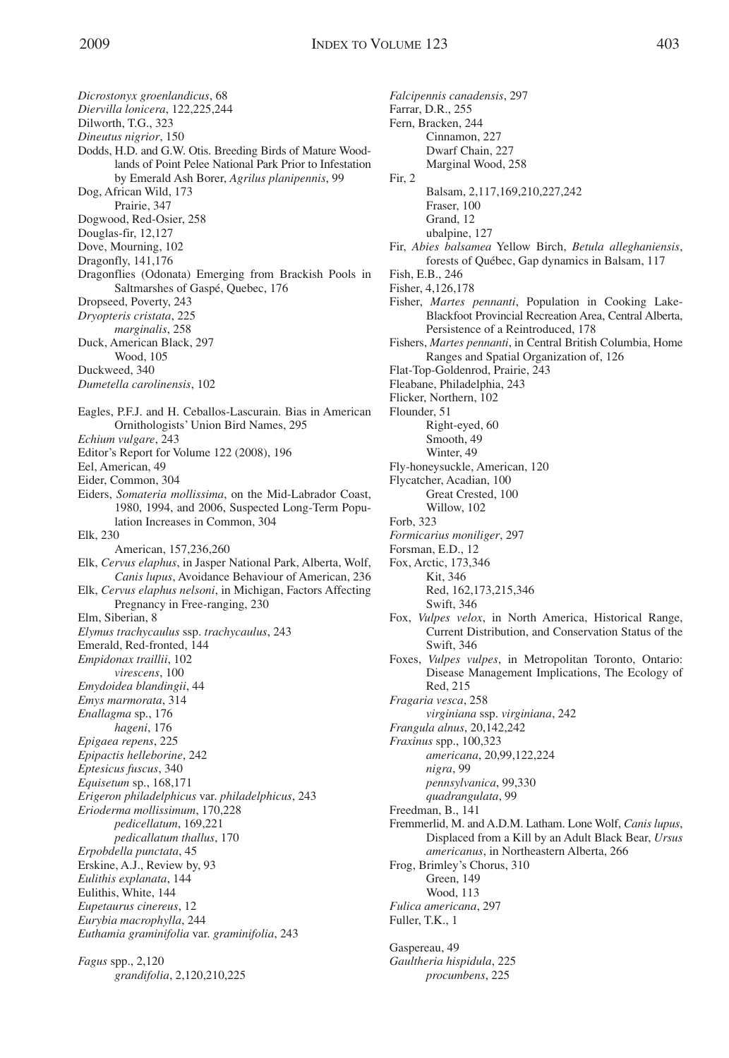*Dicrostonyx groenlandicus*, 68 *Diervilla lonicera*, 122,225,244 Dilworth, T.G., 323 *Dineutus nigrior*, 150 Dodds, H.D. and G.W. Otis. Breeding Birds of Mature Woodlands of Point Pelee National Park Prior to Infestation by Emerald Ash Borer, *Agrilus planipennis*, 99 Dog, African Wild, 173 Prairie, 347 Dogwood, Red-Osier, 258 Douglas-fir, 12,127 Dove, Mourning, 102 Dragonfly, 141,176 Dragonflies (Odonata) Emerging from Brackish Pools in Saltmarshes of Gaspé, Quebec, 176 Dropseed, Poverty, 243 *Dryopteris cristata*, 225 *marginalis*, 258 Duck, American Black, 297 Wood, 105 Duckweed, 340 *Dumetella carolinensis*, 102 Eagles, P.F.J. and H. Ceballos-Lascurain. Bias in American Ornithologists' Union Bird Names, 295 *Echium vulgare*, 243 Editor's Report for Volume 122 (2008), 196 Eel, American, 49 Eider, Common, 304 Eiders, *Somateria mollissima*, on the Mid-Labrador Coast, 1980, 1994, and 2006, Suspected Long-Term Population Increases in Common, 304 Elk, 230 American, 157,236,260 Elk, *Cervus elaphus*, in Jasper National Park, Alberta, Wolf, *Canis lupus*, Avoidance Behaviour of American, 236 Elk, *Cervus elaphus nelsoni*, in Michigan, Factors Affecting Pregnancy in Free-ranging, 230 Elm, Siberian, 8 *Elymus trachycaulus* ssp. *trachycaulus*, 243 Emerald, Red-fronted, 144 *Empidonax traillii*, 102 *virescens*, 100 *Emydoidea blandingii*, 44 *Emys marmorata*, 314 *Enallagma* sp., 176 *hageni*, 176 *Epigaea repens*, 225 *Epipactis helleborine*, 242 *Eptesicus fuscus*, 340 *Equisetum* sp., 168,171 *Erigeron philadelphicus* var. *philadelphicus*, 243 *Erioderma mollissimum*, 170,228 *pedicellatum*, 169,221 *pedicallatum thallus*, 170 *Erpobdella punctata*, 45 Erskine, A.J., Review by, 93 *Eulithis explanata*, 144 Eulithis, White, 144 *Eupetaurus cinereus*, 12 *Eurybia macrophylla*, 244 *Euthamia graminifolia* var. *graminifolia*, 243

*Fagus* spp., 2,120 *grandifolia*, 2,120,210,225 *Falcipennis canadensis*, 297 Farrar, D.R., 255 Fern, Bracken, 244 Cinnamon, 227 Dwarf Chain, 227 Marginal Wood, 258 Fir, 2 Balsam, 2,117,169,210,227,242 Fraser, 100 Grand, 12 ubalpine, 127 Fir, *Abies balsamea* Yellow Birch, *Betula alleghaniensis*, forests of Québec, Gap dynamics in Balsam, 117 Fish, E.B., 246 Fisher, 4,126,178 Fisher, *Martes pennanti*, Population in Cooking Lake-Blackfoot Provincial Recreation Area, Central Alberta, Persistence of a Reintroduced, 178 Fishers, *Martes pennanti*, in Central British Columbia, Home Ranges and Spatial Organization of, 126 Flat-Top-Goldenrod, Prairie, 243 Fleabane, Philadelphia, 243 Flicker, Northern, 102 Flounder, 51 Right-eyed, 60 Smooth, 49 Winter, 49 Fly-honeysuckle, American, 120 Flycatcher, Acadian, 100 Great Crested, 100 Willow, 102 Forb, 323 *Formicarius moniliger*, 297 Forsman, E.D., 12 Fox, Arctic, 173,346 Kit, 346 Red, 162,173,215,346 Swift, 346 Fox, *Vulpes velox*, in North America, Historical Range, Current Distribution, and Conservation Status of the Swift, 346 Foxes, *Vulpes vulpes*, in Metropolitan Toronto, Ontario: Disease Management Implications, The Ecology of Red, 215 *Fragaria vesca*, 258 *virginiana* ssp. *virginiana*, 242 *Frangula alnus*, 20,142,242 *Fraxinus* spp., 100,323 *americana*, 20,99,122,224 *nigra*, 99 *pennsylvanica*, 99,330 *quadrangulata*, 99 Freedman, B., 141 Fremmerlid, M. and A.D.M. Latham. Lone Wolf, *Canis lupus*, Displaced from a Kill by an Adult Black Bear, *Ursus americanus*, in Northeastern Alberta, 266 Frog, Brimley's Chorus, 310 Green, 149 Wood, 113 *Fulica americana*, 297 Fuller, T.K., 1 Gaspereau, 49 *Gaultheria hispidula*, 225 *procumbens*, 225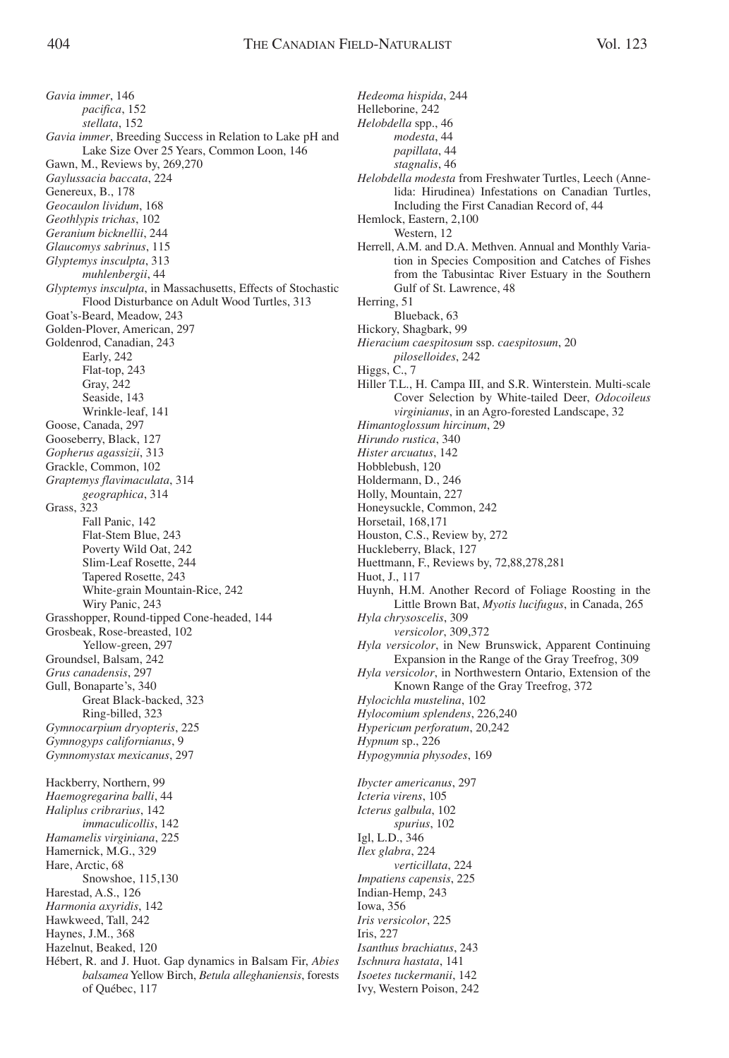*Gavia immer*, 146 *pacifica*, 152 *stellata*, 152 *Gavia immer*, Breeding Success in Relation to Lake pH and Lake Size Over 25 Years, Common Loon, 146 Gawn, M., Reviews by, 269,270 *Gaylussacia baccata*, 224 Genereux, B., 178 *Geocaulon lividum*, 168 *Geothlypis trichas*, 102 *Geranium bicknellii*, 244 *Glaucomys sabrinus*, 115 *Glyptemys insculpta*, 313 *muhlenbergii*, 44 *Glyptemys insculpta*, in Massachusetts, Effects of Stochastic Flood Disturbance on Adult Wood Turtles, 313 Goat's-Beard, Meadow, 243 Golden-Plover, American, 297 Goldenrod, Canadian, 243 Early, 242 Flat-top, 243 Gray, 242 Seaside, 143 Wrinkle-leaf, 141 Goose, Canada, 297 Gooseberry, Black, 127 *Gopherus agassizii*, 313 Grackle, Common, 102 *Graptemys flavimaculata*, 314 *geographica*, 314 Grass, 323 Fall Panic, 142 Flat-Stem Blue, 243 Poverty Wild Oat, 242 Slim-Leaf Rosette, 244 Tapered Rosette, 243 White-grain Mountain-Rice, 242 Wiry Panic, 243 Grasshopper, Round-tipped Cone-headed, 144 Grosbeak, Rose-breasted, 102 Yellow-green, 297 Groundsel, Balsam, 242 *Grus canadensis*, 297 Gull, Bonaparte's, 340 Great Black-backed, 323 Ring-billed, 323 *Gymnocarpium dryopteris*, 225 *Gymnogyps californianus*, 9 *Gymnomystax mexicanus*, 297 Hackberry, Northern, 99 *Haemogregarina balli*, 44 *Haliplus cribrarius*, 142 *immaculicollis*, 142 *Hamamelis virginiana*, 225 Hamernick, M.G., 329 Hare, Arctic, 68 Snowshoe, 115,130 Harestad, A.S., 126 *Harmonia axyridis*, 142 Hawkweed, Tall, 242 Haynes, J.M., 368 Hazelnut, Beaked, 120 Hébert, R. and J. Huot. Gap dynamics in Balsam Fir, *Abies balsamea*Yellow Birch, *Betula alleghaniensis*, forests of Québec, 117

*Hedeoma hispida*, 244 Helleborine, 242 *Helobdella* spp., 46 *modesta*, 44 *papillata*, 44 *stagnalis*, 46 *Helobdella modesta* from Freshwater Turtles, Leech (Annelida: Hirudinea) Infestations on Canadian Turtles, Including the First Canadian Record of, 44 Hemlock, Eastern, 2,100 Western, 12 Herrell, A.M. and D.A. Methven. Annual and Monthly Variation in Species Composition and Catches of Fishes from the Tabusintac River Estuary in the Southern Gulf of St. Lawrence, 48 Herring, 51 Blueback, 63 Hickory, Shagbark, 99 *Hieracium caespitosum* ssp. *caespitosum*, 20 *piloselloides*, 242 Higgs, C., 7 Hiller T.L., H. Campa III, and S.R. Winterstein. Multi-scale Cover Selection by White-tailed Deer, *Odocoileus virginianus*, in an Agro-forested Landscape, 32 *Himantoglossum hircinum*, 29 *Hirundo rustica*, 340 *Hister arcuatus*, 142 Hobblebush, 120 Holdermann, D., 246 Holly, Mountain, 227 Honeysuckle, Common, 242 Horsetail, 168,171 Houston, C.S., Review by, 272 Huckleberry, Black, 127 Huettmann, F., Reviews by, 72,88,278,281 Huot, J., 117 Huynh, H.M. Another Record of Foliage Roosting in the Little Brown Bat, *Myotis lucifugus*, in Canada, 265 *Hyla chrysoscelis*, 309 *versicolor*, 309,372 *Hyla versicolor*, in New Brunswick, Apparent Continuing Expansion in the Range of the Gray Treefrog, 309 *Hyla versicolor*, in Northwestern Ontario, Extension of the Known Range of the Gray Treefrog, 372 *Hylocichla mustelina*, 102 *Hylocomium splendens*, 226,240 *Hypericum perforatum*, 20,242 *Hypnum* sp., 226 *Hypogymnia physodes*, 169 *Ibycter americanus*, 297 *Icteria virens*, 105 *Icterus galbula*, 102 *spurius*, 102 Igl, L.D., 346 *Ilex glabra*, 224 *verticillata*, 224 *Impatiens capensis*, 225 Indian-Hemp, 243 Iowa, 356 *Iris versicolor*, 225 Iris, 227 *Isanthus brachiatus*, 243 *Ischnura hastata*, 141 *Isoetes tuckermanii*, 142

Ivy, Western Poison, 242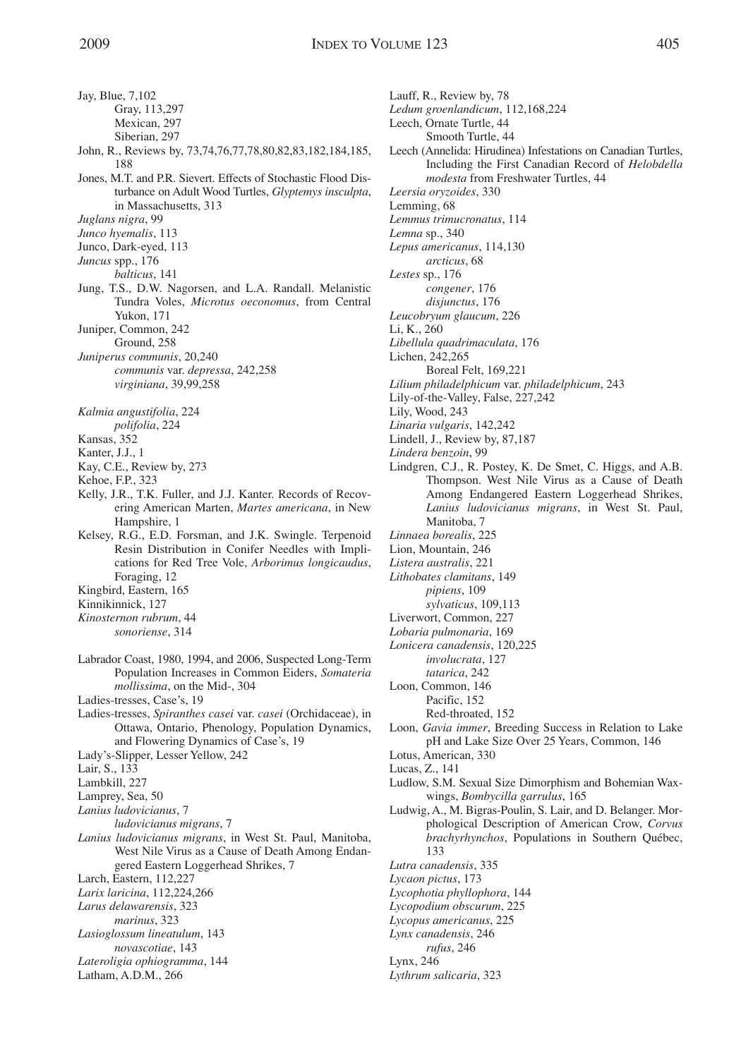Jay, Blue, 7,102 Gray, 113,297 Mexican, 297 Siberian, 297

- John, R., Reviews by, 73,74,76,77,78,80,82,83,182,184,185, 188
- Jones, M.T. and P.R. Sievert. Effects of Stochastic Flood Disturbance on Adult Wood Turtles, *Glyptemys insculpta*, in Massachusetts, 313

*Juglans nigra*, 99

*Junco hyemalis*, 113

Junco, Dark-eyed, 113

*Juncus* spp., 176

- *balticus*, 141
- Jung, T.S., D.W. Nagorsen, and L.A. Randall. Melanistic Tundra Voles, *Microtus oeconomus*, from Central Yukon, 171

Juniper, Common, 242 Ground, 258

*Juniperus communis*, 20,240 *communis* var. *depressa*, 242,258 *virginiana*, 39,99,258

*Kalmia angustifolia*, 224

*polifolia*, 224

Kansas, 352

Kanter, J.J., 1

Kay, C.E., Review by, 273

Kehoe, F.P., 323

- Kelly, J.R., T.K. Fuller, and J.J. Kanter. Records of Recovering American Marten, *Martes americana*, in New Hampshire, 1
- Kelsey, R.G., E.D. Forsman, and J.K. Swingle. Terpenoid Resin Distribution in Conifer Needles with Implications for Red Tree Vole, *Arborimus longicaudus*, Foraging, 12

Kingbird, Eastern, 165

Kinnikinnick, 127

- *Kinosternon rubrum*, 44 *sonoriense*, 314
- Labrador Coast, 1980, 1994, and 2006, Suspected Long-Term Population Increases in Common Eiders, *Somateria mollissima*, on the Mid-, 304

Ladies-tresses, Case's, 19

Ladies-tresses, *Spiranthes casei* var. *casei* (Orchidaceae), in Ottawa, Ontario, Phenology, Population Dynamics, and Flowering Dynamics of Case's, 19

Lady's-Slipper, Lesser Yellow, 242

Lair, S., 133

Lambkill, 227

Lamprey, Sea, 50

*Lanius ludovicianus*, 7

*ludovicianus migrans*, 7

*Lanius ludovicianus migrans*, in West St. Paul, Manitoba, West Nile Virus as a Cause of Death Among Endangered Eastern Loggerhead Shrikes, 7

Larch, Eastern, 112,227

*Larix laricina*, 112,224,266

*Larus delawarensis*, 323

*marinus*, 323

*Lasioglossum lineatulum*, 143

- *novascotiae*, 143
- *Lateroligia ophiogramma*, 144

Latham, A.D.M., 266

Lauff, R., Review by, 78 *Ledum groenlandicum*, 112,168,224 Leech, Ornate Turtle, 44 Smooth Turtle, 44 Leech (Annelida: Hirudinea) Infestations on Canadian Turtles, Including the First Canadian Record of *Helobdella modesta* from Freshwater Turtles, 44 *Leersia oryzoides*, 330 Lemming, 68 *Lemmus trimucronatus*, 114 *Lemna* sp., 340 *Lepus americanus*, 114,130 *arcticus*, 68 *Lestes* sp., 176 *congener*, 176 *disjunctus*, 176 *Leucobryum glaucum*, 226 Li, K., 260 *Libellula quadrimaculata*, 176 Lichen, 242,265 Boreal Felt, 169,221 *Lilium philadelphicum* var. *philadelphicum*, 243 Lily-of-the-Valley, False, 227,242 Lily, Wood, 243 *Linaria vulgaris*, 142,242 Lindell, J., Review by, 87,187 *Lindera benzoin*, 99 Lindgren, C.J., R. Postey, K. De Smet, C. Higgs, and A.B. Thompson. West Nile Virus as a Cause of Death Among Endangered Eastern Loggerhead Shrikes, *Lanius ludovicianus migrans*, in West St. Paul, Manitoba, 7 *Linnaea borealis*, 225 Lion, Mountain, 246 *Listera australis*, 221 *Lithobates clamitans*, 149 *pipiens*, 109 *sylvaticus*, 109,113 Liverwort, Common, 227 *Lobaria pulmonaria*, 169 *Lonicera canadensis*, 120,225 *involucrata*, 127 *tatarica*, 242 Loon, Common, 146 Pacific, 152 Red-throated, 152 Loon, *Gavia immer*, Breeding Success in Relation to Lake pH and Lake Size Over 25 Years, Common, 146 Lotus, American, 330 Lucas, Z., 141 Ludlow, S.M. Sexual Size Dimorphism and Bohemian Wax-

- wings, *Bombycilla garrulus*, 165
- Ludwig, A., M. Bigras-Poulin, S. Lair, and D. Belanger. Morphological Description of American Crow, *Corvus brachyrhynchos*, Populations in Southern Québec, 133
- *Lutra canadensis*, 335
- *Lycaon pictus*, 173
- *Lycophotia phyllophora*, 144
- *Lycopodium obscurum*, 225
- *Lycopus americanus*, 225

*Lynx canadensis*, 246

*rufus*, 246

Lynx, 246

*Lythrum salicaria*, 323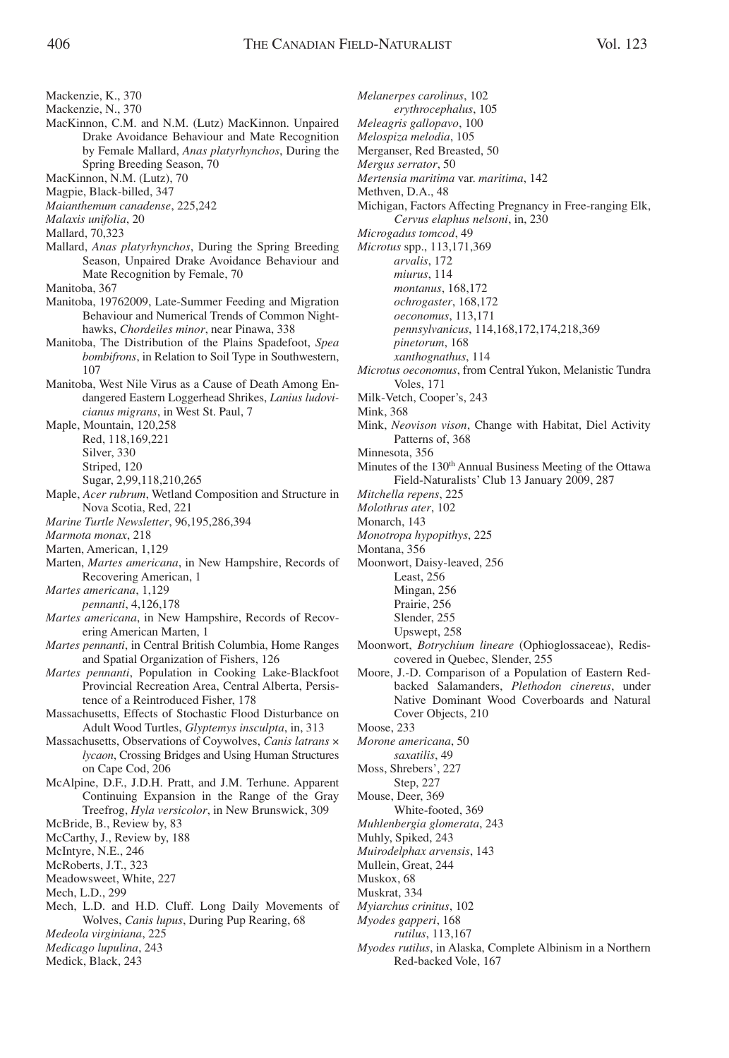Mackenzie, K., 370

- Mackenzie, N., 370
- MacKinnon, C.M. and N.M. (Lutz) MacKinnon. Unpaired Drake Avoidance Behaviour and Mate Recognition by Female Mallard, *Anas platyrhynchos*, During the Spring Breeding Season, 70
- MacKinnon, N.M. (Lutz), 70
- Magpie, Black-billed, 347
- *Maianthemum canadense*, 225,242
- *Malaxis unifolia*, 20
- Mallard, 70,323
- Mallard, *Anas platyrhynchos*, During the Spring Breeding Season, Unpaired Drake Avoidance Behaviour and Mate Recognition by Female, 70
- Manitoba, 367
- Manitoba, 19762009, Late-Summer Feeding and Migration Behaviour and Numerical Trends of Common Nighthawks, *Chordeiles minor*, near Pinawa, 338
- Manitoba, The Distribution of the Plains Spadefoot, *Spea bombifrons*, in Relation to Soil Type in Southwestern, 107
- Manitoba, West Nile Virus as a Cause of Death Among Endangered Eastern Loggerhead Shrikes, *Lanius ludovicianus migrans*, in West St. Paul, 7

Maple, Mountain, 120,258 Red, 118,169,221 Silver, 330 Striped, 120

- Sugar, 2,99,118,210,265
- Maple, *Acer rubrum*, Wetland Composition and Structure in Nova Scotia, Red, 221
- *Marine Turtle Newsletter*, 96,195,286,394
- *Marmota monax*, 218
- Marten, American, 1,129
- Marten, *Martes americana*, in New Hampshire, Records of Recovering American, 1
- *Martes americana*, 1,129
	- *pennanti*, 4,126,178
- *Martes americana*, in New Hampshire, Records of Recovering American Marten, 1
- *Martes pennanti*, in Central British Columbia, Home Ranges and Spatial Organization of Fishers, 126
- *Martes pennanti*, Population in Cooking Lake-Blackfoot Provincial Recreation Area, Central Alberta, Persistence of a Reintroduced Fisher, 178
- Massachusetts, Effects of Stochastic Flood Disturbance on Adult Wood Turtles, *Glyptemys insculpta*, in, 313
- Massachusetts, Observations of Coywolves, *Canis latrans* × *lycaon*, Crossing Bridges and Using Human Structures on Cape Cod, 206
- McAlpine, D.F., J.D.H. Pratt, and J.M. Terhune. Apparent Continuing Expansion in the Range of the Gray Treefrog, *Hyla versicolor*, in New Brunswick, 309

McBride, B., Review by, 83

- McCarthy, J., Review by, 188
- McIntyre, N.E., 246
- McRoberts, J.T., 323
- Meadowsweet, White, 227
- Mech, L.D., 299
- Mech, L.D. and H.D. Cluff. Long Daily Movements of Wolves, *Canis lupus*, During Pup Rearing, 68 *Medeola virginiana*, 225
- 
- *Medicago lupulina*, 243
- Medick, Black, 243

*Melanerpes carolinus*, 102 *erythrocephalus*, 105 *Meleagris gallopavo*, 100 *Melospiza melodia*, 105 Merganser, Red Breasted, 50 *Mergus serrator*, 50 *Mertensia maritima* var. *maritima*, 142 Methven, D.A., 48 Michigan, Factors Affecting Pregnancy in Free-ranging Elk, *Cervus elaphus nelsoni*, in, 230 *Microgadus tomcod*, 49 *Microtus* spp., 113,171,369 *arvalis*, 172 *miurus*, 114 *montanus*, 168,172 *ochrogaster*, 168,172 *oeconomus*, 113,171 *pennsylvanicus*, 114,168,172,174,218,369 *pinetorum*, 168 *xanthognathus*, 114 *Microtus oeconomus*, from Central Yukon, Melanistic Tundra Voles, 171 Milk-Vetch, Cooper's, 243 Mink, 368 Mink, *Neovison vison*, Change with Habitat, Diel Activity Patterns of, 368 Minnesota, 356 Minutes of the 130<sup>th</sup> Annual Business Meeting of the Ottawa Field-Naturalists' Club 13 January 2009, 287 *Mitchella repens*, 225 *Molothrus ater*, 102 Monarch, 143 *Monotropa hypopithys*, 225 Montana, 356 Moonwort, Daisy-leaved, 256 Least, 256 Mingan, 256 Prairie, 256

- Slender, 255
- Upswept, 258
- Moonwort, *Botrychium lineare* (Ophioglossaceae), Rediscovered in Quebec, Slender, 255
- Moore, J.-D. Comparison of a Population of Eastern Redbacked Salamanders, *Plethodon cinereus*, under Native Dominant Wood Coverboards and Natural Cover Objects, 210

Moose, 233

- *Morone americana*, 50
- *saxatilis*, 49
- Moss, Shrebers', 227 Step, 227
- Mouse, Deer, 369
- White-footed, 369
- *Muhlenbergia glomerata*, 243
- Muhly, Spiked, 243
- *Muirodelphax arvensis*, 143
- Mullein, Great, 244
- Muskox, 68
- Muskrat, 334
- *Myiarchus crinitus*, 102
- *Myodes gapperi*, 168
- *rutilus*, 113,167
- *Myodes rutilus*, in Alaska, Complete Albinism in a Northern Red-backed Vole, 167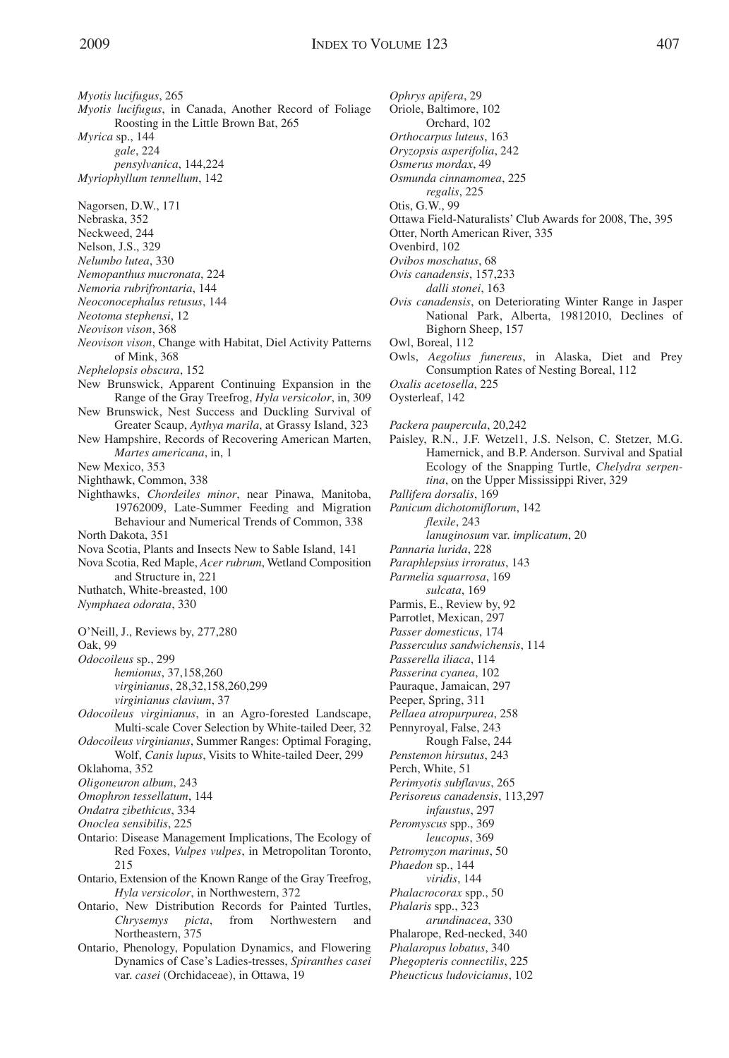*Myotis lucifugus*, 265 *Myotis lucifugus*, in Canada, Another Record of Foliage Roosting in the Little Brown Bat, 265 *Myrica* sp., 144 *gale*, 224 *pensylvanica*, 144,224 *Myriophyllum tennellum*, 142 Nagorsen, D.W., 171 Nebraska, 352 Neckweed, 244 Nelson, J.S., 329 *Nelumbo lutea*, 330 *Nemopanthus mucronata*, 224 *Nemoria rubrifrontaria*, 144 *Neoconocephalus retusus*, 144 *Neotoma stephensi*, 12 *Neovison vison*, 368 *Neovison vison*, Change with Habitat, Diel Activity Patterns of Mink, 368 *Nephelopsis obscura*, 152 New Brunswick, Apparent Continuing Expansion in the Range of the Gray Treefrog, *Hyla versicolor*, in, 309 New Brunswick, Nest Success and Duckling Survival of Greater Scaup, *Aythya marila*, at Grassy Island, 323 New Hampshire, Records of Recovering American Marten, *Martes americana*, in, 1 New Mexico, 353 Nighthawk, Common, 338 Nighthawks, *Chordeiles minor*, near Pinawa, Manitoba, 19762009, Late-Summer Feeding and Migration Behaviour and Numerical Trends of Common, 338 North Dakota, 351 Nova Scotia, Plants and Insects New to Sable Island, 141 Nova Scotia, Red Maple, *Acer rubrum*, Wetland Composition and Structure in, 221 Nuthatch, White-breasted, 100 *Nymphaea odorata*, 330 O'Neill, J., Reviews by, 277,280 Oak, 99 *Odocoileus* sp., 299 *hemionus*, 37,158,260 *virginianus*, 28,32,158,260,299 *virginianus clavium*, 37 *Odocoileus virginianus*, in an Agro-forested Landscape, Multi-scale Cover Selection by White-tailed Deer, 32 *Odocoileus virginianus*, Summer Ranges: Optimal Foraging, Wolf, *Canis lupus*, Visits to White-tailed Deer, 299 Oklahoma, 352 *Oligoneuron album*, 243 *Omophron tessellatum*, 144 *Ondatra zibethicus*, 334 *Onoclea sensibilis*, 225 Ontario: Disease Management Implications, The Ecology of Red Foxes, *Vulpes vulpes*, in Metropolitan Toronto, 215 Ontario, Extension of the Known Range of the Gray Treefrog, *Hyla versicolor*, in Northwestern, 372 Ontario, New Distribution Records for Painted Turtles, *Chrysemys picta*, from Northwestern and Northeastern, 375 Ontario, Phenology, Population Dynamics, and Flowering Dynamics of Case's Ladies-tresses, *Spiranthes casei* var. *casei* (Orchidaceae), in Ottawa, 19

*Ophrys apifera*, 29 Oriole, Baltimore, 102 Orchard, 102 *Orthocarpus luteus*, 163 *Oryzopsis asperifolia*, 242 *Osmerus mordax*, 49 *Osmunda cinnamomea*, 225 *regalis*, 225 Otis, G.W., 99 Ottawa Field-Naturalists' Club Awards for 2008, The, 395 Otter, North American River, 335 Ovenbird, 102 *Ovibos moschatus*, 68 *Ovis canadensis*, 157,233 *dalli stonei*, 163 *Ovis canadensis*, on Deteriorating Winter Range in Jasper National Park, Alberta, 19812010, Declines of Bighorn Sheep, 157 Owl, Boreal, 112 Owls, *Aegolius funereus*, in Alaska, Diet and Prey Consumption Rates of Nesting Boreal, 112 *Oxalis acetosella*, 225 Oysterleaf, 142 *Packera paupercula*, 20,242 Paisley, R.N., J.F. Wetzel1, J.S. Nelson, C. Stetzer, M.G. Hamernick, and B.P. Anderson. Survival and Spatial Ecology of the Snapping Turtle, *Chelydra serpentina*, on the Upper Mississippi River, 329 *Pallifera dorsalis*, 169 *Panicum dichotomiflorum*, 142 *flexile*, 243 *lanuginosum* var. *implicatum*, 20 *Pannaria lurida*, 228 *Paraphlepsius irroratus*, 143 *Parmelia squarrosa*, 169 *sulcata*, 169 Parmis, E., Review by, 92 Parrotlet, Mexican, 297 *Passer domesticus*, 174 *Passerculus sandwichensis*, 114 *Passerella iliaca*, 114 *Passerina cyanea*, 102 Pauraque, Jamaican, 297 Peeper, Spring, 311 *Pellaea atropurpurea*, 258 Pennyroyal, False, 243 Rough False, 244 *Penstemon hirsutus*, 243 Perch, White, 51 *Perimyotis subflavus*, 265 *Perisoreus canadensis*, 113,297 *infaustus*, 297 *Peromyscus* spp., 369 *leucopus*, 369 *Petromyzon marinus*, 50 *Phaedon* sp., 144 *viridis*, 144 *Phalacrocorax* spp., 50 *Phalaris* spp., 323 *arundinacea*, 330 Phalarope, Red-necked, 340 *Phalaropus lobatus*, 340 *Phegopteris connectilis*, 225 *Pheucticus ludovicianus*, 102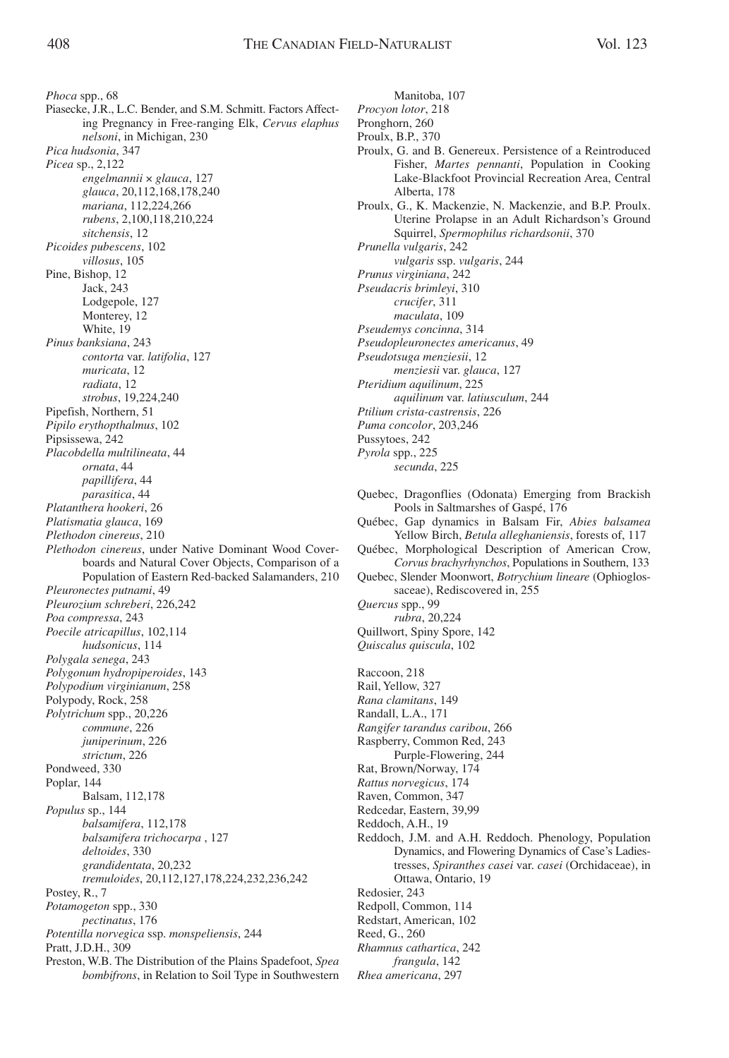Manitoba, 107

*Phoca* spp., 68 Piasecke, J.R., L.C. Bender, and S.M. Schmitt. Factors Affecting Pregnancy in Free-ranging Elk, *Cervus elaphus nelsoni*, in Michigan, 230 *Pica hudsonia*, 347 *Picea* sp., 2,122 *engelmannii* × *glauca*, 127 *glauca*, 20,112,168,178,240 *mariana*, 112,224,266 *rubens*, 2,100,118,210,224 *sitchensis*, 12 *Picoides pubescens*, 102 *villosus*, 105 Pine, Bishop, 12 Jack, 243 Lodgepole, 127 Monterey, 12 White, 19 *Pinus banksiana*, 243 *contorta* var. *latifolia*, 127 *muricata*, 12 *radiata*, 12 *strobus*, 19,224,240 Pipefish, Northern, 51 *Pipilo erythopthalmus*, 102 Pipsissewa, 242 *Placobdella multilineata*, 44 *ornata*, 44 *papillifera*, 44 *parasitica*, 44 *Platanthera hookeri*, 26 *Platismatia glauca*, 169 *Plethodon cinereus*, 210 *Plethodon cinereus*, under Native Dominant Wood Coverboards and Natural Cover Objects, Comparison of a Population of Eastern Red-backed Salamanders, 210 *Pleuronectes putnami*, 49 *Pleurozium schreberi*, 226,242 *Poa compressa*, 243 *Poecile atricapillus*, 102,114 *hudsonicus*, 114 *Polygala senega*, 243 *Polygonum hydropiperoides*, 143 *Polypodium virginianum*, 258 Polypody, Rock, 258 *Polytrichum* spp., 20,226 *commune*, 226 *juniperinum*, 226 *strictum*, 226 Pondweed, 330 Poplar, 144 Balsam, 112,178 *Populus* sp., 144 *balsamifera*, 112,178 *balsamifera trichocarpa* , 127 *deltoides*, 330 *grandidentata*, 20,232 *tremuloides*, 20,112,127,178,224,232,236,242 Postey, R., 7 *Potamogeton* spp., 330 *pectinatus*, 176 *Potentilla norvegica* ssp. *monspeliensis*, 244 Pratt, J.D.H., 309 Preston, W.B. The Distribution of the Plains Spadefoot, *Spea*

*bombifrons*, in Relation to Soil Type in Southwestern

*Procyon lotor*, 218 Pronghorn, 260 Proulx, B.P., 370 Proulx, G. and B. Genereux. Persistence of a Reintroduced Fisher, *Martes pennanti*, Population in Cooking Lake-Blackfoot Provincial Recreation Area, Central Alberta, 178 Proulx, G., K. Mackenzie, N. Mackenzie, and B.P. Proulx. Uterine Prolapse in an Adult Richardson's Ground Squirrel, *Spermophilus richardsonii*, 370 *Prunella vulgaris*, 242 *vulgaris* ssp. *vulgaris*, 244 *Prunus virginiana*, 242 *Pseudacris brimleyi*, 310 *crucifer*, 311 *maculata*, 109 *Pseudemys concinna*, 314 *Pseudopleuronectes americanus*, 49 *Pseudotsuga menziesii*, 12 *menziesii* var. *glauca*, 127 *Pteridium aquilinum*, 225 *aquilinum* var. *latiusculum*, 244 *Ptilium crista-castrensis*, 226 *Puma concolor*, 203,246 Pussytoes, 242 *Pyrola* spp., 225 *secunda*, 225 Quebec, Dragonflies (Odonata) Emerging from Brackish Pools in Saltmarshes of Gaspé, 176 Québec, Gap dynamics in Balsam Fir, *Abies balsamea* Yellow Birch, *Betula alleghaniensis*, forests of, 117 Québec, Morphological Description of American Crow, *Corvus brachyrhynchos*, Populations in Southern, 133 Quebec, Slender Moonwort, *Botrychium lineare* (Ophioglossaceae), Rediscovered in, 255 *Quercus* spp., 99

*rubra*, 20,224

Quillwort, Spiny Spore, 142 *Quiscalus quiscula*, 102

Raccoon, 218 Rail, Yellow, 327 *Rana clamitans*, 149 Randall, L.A., 171 *Rangifer tarandus caribou*, 266 Raspberry, Common Red, 243 Purple-Flowering, 244 Rat, Brown/Norway, 174 *Rattus norvegicus*, 174 Raven, Common, 347 Redcedar, Eastern, 39,99 Reddoch, A.H., 19 Reddoch, J.M. and A.H. Reddoch. Phenology, Population Dynamics, and Flowering Dynamics of Case's Ladiestresses, *Spiranthes casei* var. *casei* (Orchidaceae), in Ottawa, Ontario, 19 Redosier, 243 Redpoll, Common, 114 Redstart, American, 102 Reed, G., 260 *Rhamnus cathartica*, 242 *frangula*, 142 *Rhea americana*, 297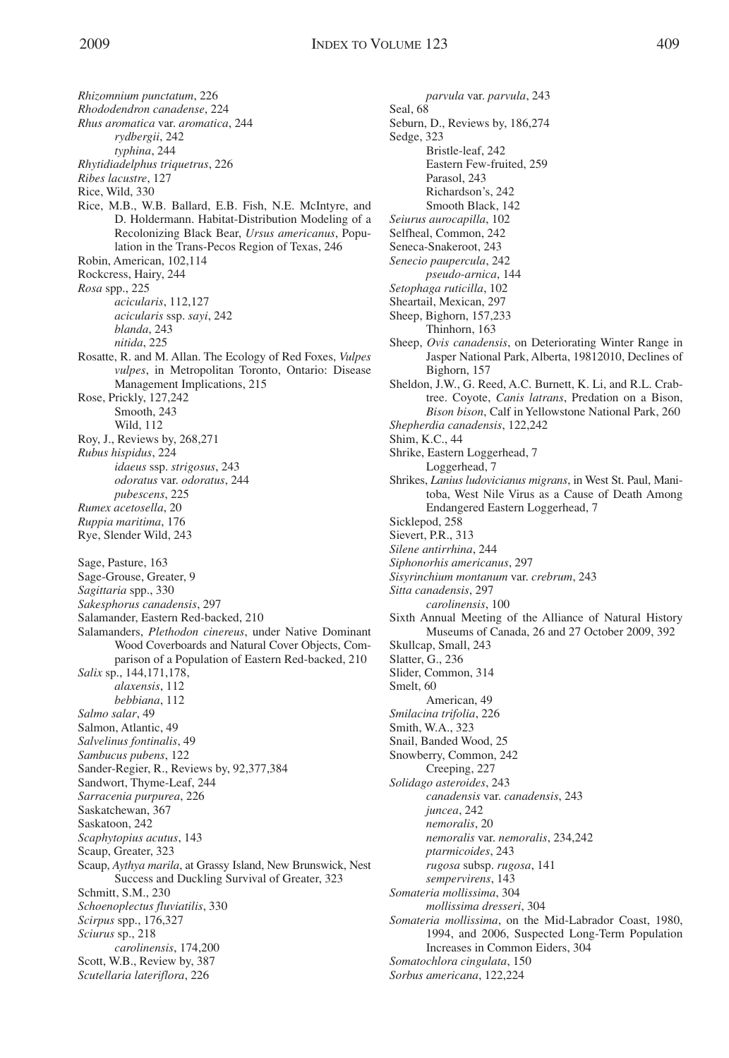*Rhizomnium punctatum*, 226 *Rhododendron canadense*, 224 *Rhus aromatica* var. *aromatica*, 244 *rydbergii*, 242 *typhina*, 244 *Rhytidiadelphus triquetrus*, 226 *Ribes lacustre*, 127 Rice, Wild, 330 Rice, M.B., W.B. Ballard, E.B. Fish, N.E. McIntyre, and D. Holdermann. Habitat-Distribution Modeling of a Recolonizing Black Bear, *Ursus americanus*, Population in the Trans-Pecos Region of Texas, 246 Robin, American, 102,114 Rockcress, Hairy, 244 *Rosa* spp., 225 *acicularis*, 112,127 *acicularis* ssp. *sayi*, 242 *blanda*, 243 *nitida*, 225 Rosatte, R. and M. Allan. The Ecology of Red Foxes, *Vulpes vulpes*, in Metropolitan Toronto, Ontario: Disease Management Implications, 215 Rose, Prickly, 127,242 Smooth, 243 Wild, 112 Roy, J., Reviews by, 268,271 *Rubus hispidus*, 224 *idaeus* ssp. *strigosus*, 243 *odoratus* var. *odoratus*, 244 *pubescens*, 225 *Rumex acetosella*, 20 *Ruppia maritima*, 176 Rye, Slender Wild, 243 Sage, Pasture, 163 Sage-Grouse, Greater, 9 *Sagittaria* spp., 330 *Sakesphorus canadensis*, 297 Salamander, Eastern Red-backed, 210 Salamanders, *Plethodon cinereus*, under Native Dominant Wood Coverboards and Natural Cover Objects, Comparison of a Population of Eastern Red-backed, 210 *Salix* sp., 144,171,178, *alaxensis*, 112 *bebbiana*, 112 *Salmo salar*, 49 Salmon, Atlantic, 49 *Salvelinus fontinalis*, 49 *Sambucus pubens*, 122 Sander-Regier, R., Reviews by, 92,377,384 Sandwort, Thyme-Leaf, 244 *Sarracenia purpurea*, 226 Saskatchewan, 367 Saskatoon, 242 *Scaphytopius acutus*, 143 Scaup, Greater, 323 Scaup, *Aythya marila*, at Grassy Island, New Brunswick, Nest Success and Duckling Survival of Greater, 323 Schmitt, S.M., 230 *Schoenoplectus fluviatilis*, 330 *Scirpus* spp., 176,327 *Sciurus* sp., 218 *carolinensis*, 174,200 Scott, W.B., Review by, 387 *Scutellaria lateriflora*, 226

*parvula* var. *parvula*, 243 Seal, 68 Seburn, D., Reviews by, 186,274 Sedge, 323 Bristle-leaf, 242 Eastern Few-fruited, 259 Parasol, 243 Richardson's, 242 Smooth Black, 142 *Seiurus aurocapilla*, 102 Selfheal, Common, 242 Seneca-Snakeroot, 243 *Senecio paupercula*, 242 *pseudo-arnica*, 144 *Setophaga ruticilla*, 102 Sheartail, Mexican, 297 Sheep, Bighorn, 157,233 Thinhorn, 163 Sheep, *Ovis canadensis*, on Deteriorating Winter Range in Jasper National Park, Alberta, 19812010, Declines of Bighorn, 157 Sheldon, J.W., G. Reed, A.C. Burnett, K. Li, and R.L. Crabtree. Coyote, *Canis latrans*, Predation on a Bison, *Bison bison*, Calf in Yellowstone National Park, 260 *Shepherdia canadensis*, 122,242 Shim, K.C., 44 Shrike, Eastern Loggerhead, 7 Loggerhead, 7 Shrikes, *Lanius ludovicianus migrans*, in West St. Paul, Manitoba, West Nile Virus as a Cause of Death Among Endangered Eastern Loggerhead, 7 Sicklepod, 258 Sievert, P.R., 313 *Silene antirrhina*, 244 *Siphonorhis americanus*, 297 *Sisyrinchium montanum* var. *crebrum*, 243 *Sitta canadensis*, 297 *carolinensis*, 100 Sixth Annual Meeting of the Alliance of Natural History Museums of Canada, 26 and 27 October 2009, 392 Skullcap, Small, 243 Slatter, G., 236 Slider, Common, 314 Smelt, 60 American, 49 *Smilacina trifolia*, 226 Smith, W.A., 323 Snail, Banded Wood, 25 Snowberry, Common, 242 Creeping, 227 *Solidago asteroides*, 243 *canadensis* var. *canadensis*, 243 *juncea*, 242 *nemoralis*, 20 *nemoralis* var. *nemoralis*, 234,242 *ptarmicoides*, 243 *rugosa* subsp. *rugosa*, 141 *sempervirens*, 143 *Somateria mollissima*, 304 *mollissima dresseri*, 304 *Somateria mollissima*, on the Mid-Labrador Coast, 1980, 1994, and 2006, Suspected Long-Term Population Increases in Common Eiders, 304 *Somatochlora cingulata*, 150 *Sorbus americana*, 122,224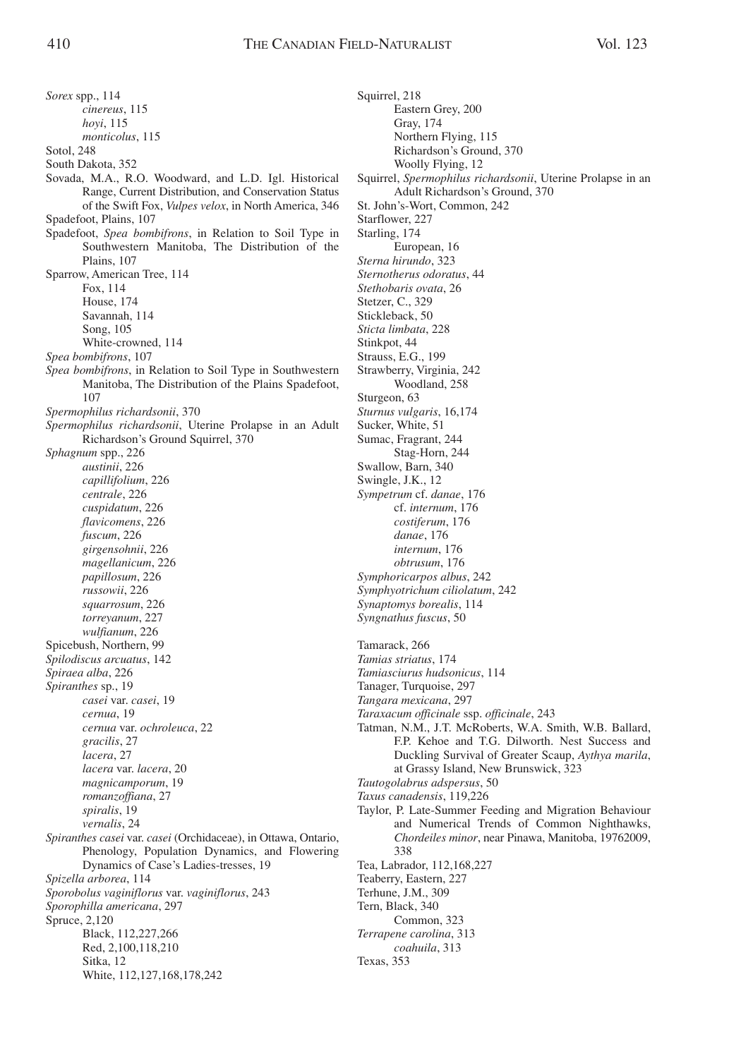*Sorex* spp., 114 *cinereus*, 115 *hoyi*, 115 *monticolus*, 115 Sotol, 248 South Dakota, 352 Sovada, M.A., R.O. Woodward, and L.D. Igl. Historical Range, Current Distribution, and Conservation Status of the Swift Fox, *Vulpes velox*, in North America, 346 Spadefoot, Plains, 107 Spadefoot, *Spea bombifrons*, in Relation to Soil Type in Southwestern Manitoba, The Distribution of the Plains, 107 Sparrow, American Tree, 114 Fox, 114 House, 174 Savannah, 114 Song, 105 White-crowned, 114 *Spea bombifrons*, 107 *Spea bombifrons*, in Relation to Soil Type in Southwestern Manitoba, The Distribution of the Plains Spadefoot, 107 *Spermophilus richardsonii*, 370 *Spermophilus richardsonii*, Uterine Prolapse in an Adult Richardson's Ground Squirrel, 370 *Sphagnum* spp., 226 *austinii*, 226 *capillifolium*, 226 *centrale*, 226 *cuspidatum*, 226 *flavicomens*, 226 *fuscum*, 226 *girgensohnii*, 226 *magellanicum*, 226 *papillosum*, 226 *russowii*, 226 *squarrosum*, 226 *torreyanum*, 227 *wulfianum*, 226 Spicebush, Northern, 99 *Spilodiscus arcuatus*, 142 *Spiraea alba*, 226 *Spiranthes* sp., 19 *casei* var. *casei*, 19 *cernua*, 19 *cernua* var. *ochroleuca*, 22 *gracilis*, 27 *lacera*, 27 *lacera* var. *lacera*, 20 *magnicamporum*, 19 *romanzoffiana*, 27 *spiralis*, 19 *vernalis*, 24 *Spiranthes casei* var. *casei* (Orchidaceae), in Ottawa, Ontario, Phenology, Population Dynamics, and Flowering Dynamics of Case's Ladies-tresses, 19 *Spizella arborea*, 114 *Sporobolus vaginiflorus* var. *vaginiflorus*, 243 *Sporophilla americana*, 297 Spruce, 2,120 Black, 112,227,266 Red, 2,100,118,210 Sitka, 12 White, 112,127,168,178,242

Squirrel, 218 Eastern Grey, 200 Gray, 174 Northern Flying, 115 Richardson's Ground, 370 Woolly Flying, 12 Squirrel, *Spermophilus richardsonii*, Uterine Prolapse in an Adult Richardson's Ground, 370 St. John's-Wort, Common, 242 Starflower, 227 Starling, 174 European, 16 *Sterna hirundo*, 323 *Sternotherus odoratus*, 44 *Stethobaris ovata*, 26 Stetzer, C., 329 Stickleback, 50 *Sticta limbata*, 228 Stinkpot, 44 Strauss, E.G., 199 Strawberry, Virginia, 242 Woodland, 258 Sturgeon, 63 *Sturnus vulgaris*, 16,174 Sucker, White, 51 Sumac, Fragrant, 244 Stag-Horn, 244 Swallow, Barn, 340 Swingle, J.K., 12 *Sympetrum* cf. *danae*, 176 cf. *internum*, 176 *costiferum*, 176 *danae*, 176 *internum*, 176 *obtrusum*, 176 *Symphoricarpos albus*, 242 *Symphyotrichum ciliolatum*, 242 *Synaptomys borealis*, 114 *Syngnathus fuscus*, 50 Tamarack, 266 *Tamias striatus*, 174 *Tamiasciurus hudsonicus*, 114 Tanager, Turquoise, 297 *Tangara mexicana*, 297 *Taraxacum officinale* ssp. *officinale*, 243 Tatman, N.M., J.T. McRoberts, W.A. Smith, W.B. Ballard, F.P. Kehoe and T.G. Dilworth. Nest Success and Duckling Survival of Greater Scaup, *Aythya marila*, at Grassy Island, New Brunswick, 323 *Tautogolabrus adspersus*, 50 *Taxus canadensis*, 119,226 Taylor, P. Late-Summer Feeding and Migration Behaviour and Numerical Trends of Common Nighthawks, *Chordeiles minor*, near Pinawa, Manitoba, 19762009, 338 Tea, Labrador, 112,168,227 Teaberry, Eastern, 227 Terhune, J.M., 309 Tern, Black, 340 Common, 323 *Terrapene carolina*, 313 *coahuila*, 313 Texas, 353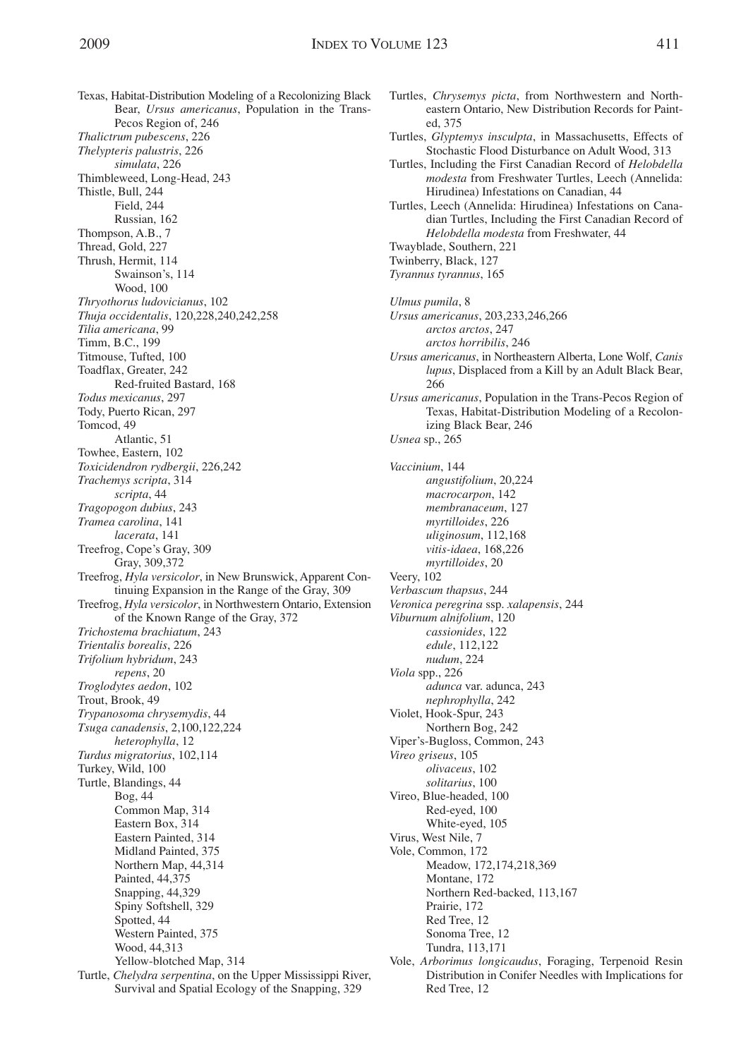ed, 375

Texas, Habitat-Distribution Modeling of a Recolonizing Black Bear, *Ursus americanus*, Population in the Trans-Pecos Region of, 246 *Thalictrum pubescens*, 226 *Thelypteris palustris*, 226 *simulata*, 226 Thimbleweed, Long-Head, 243 Thistle, Bull, 244 Field, 244 Russian, 162 Thompson, A.B., 7 Thread, Gold, 227 Thrush, Hermit, 114 Swainson's, 114 Wood, 100 *Thryothorus ludovicianus*, 102 *Thuja occidentalis*, 120,228,240,242,258 *Tilia americana*, 99 Timm, B.C., 199 Titmouse, Tufted, 100 Toadflax, Greater, 242 Red-fruited Bastard, 168 *Todus mexicanus*, 297 Tody, Puerto Rican, 297 Tomcod, 49 Atlantic, 51 Towhee, Eastern, 102 *Toxicidendron rydbergii*, 226,242 *Trachemys scripta*, 314 *scripta*, 44 *Tragopogon dubius*, 243 *Tramea carolina*, 141 *lacerata*, 141 Treefrog, Cope's Gray, 309 Gray, 309,372 Treefrog, *Hyla versicolor*, in New Brunswick, Apparent Continuing Expansion in the Range of the Gray, 309 Treefrog, *Hyla versicolor*, in Northwestern Ontario, Extension of the Known Range of the Gray, 372 *Trichostema brachiatum*, 243 *Trientalis borealis*, 226 *Trifolium hybridum*, 243 *repens*, 20 *Troglodytes aedon*, 102 Trout, Brook, 49 *Trypanosoma chrysemydis*, 44 *Tsuga canadensis*, 2,100,122,224 *heterophylla*, 12 *Turdus migratorius*, 102,114 Turkey, Wild, 100 Turtle, Blandings, 44 Bog, 44 Common Map, 314 Eastern Box, 314 Eastern Painted, 314 Midland Painted, 375 Northern Map, 44,314 Painted, 44,375 Snapping, 44,329 Spiny Softshell, 329 Spotted, 44 Western Painted, 375 Wood, 44,313 Yellow-blotched Map, 314 Turtle, *Chelydra serpentina*, on the Upper Mississippi River, Survival and Spatial Ecology of the Snapping, 329

Turtles, Including the First Canadian Record of *Helobdella modesta* from Freshwater Turtles, Leech (Annelida: Hirudinea) Infestations on Canadian, 44 Turtles, Leech (Annelida: Hirudinea) Infestations on Canadian Turtles, Including the First Canadian Record of *Helobdella modesta* from Freshwater, 44 Twayblade, Southern, 221 Twinberry, Black, 127 *Tyrannus tyrannus*, 165 *Ulmus pumila*, 8 *Ursus americanus*, 203,233,246,266 *arctos arctos*, 247 *arctos horribilis*, 246 *Ursus americanus*, in Northeastern Alberta, Lone Wolf, *Canis lupus*, Displaced from a Kill by an Adult Black Bear, 266 *Ursus americanus*, Population in the Trans-Pecos Region of Texas, Habitat-Distribution Modeling of a Recolonizing Black Bear, 246 *Usnea* sp., 265 *Vaccinium*, 144 *angustifolium*, 20,224 *macrocarpon*, 142 *membranaceum*, 127 *myrtilloides*, 226 *uliginosum*, 112,168 *vitis-idaea*, 168,226 *myrtilloides*, 20 Veery, 102 *Verbascum thapsus*, 244 *Veronica peregrina* ssp. *xalapensis*, 244 *Viburnum alnifolium*, 120 *cassionides*, 122 *edule*, 112,122 *nudum*, 224 *Viola* spp., 226 *adunca* var. adunca, 243 *nephrophylla*, 242 Violet, Hook-Spur, 243 Northern Bog, 242 Viper's-Bugloss, Common, 243 *Vireo griseus*, 105 *olivaceus*, 102 *solitarius*, 100 Vireo, Blue-headed, 100 Red-eyed, 100 White-eyed, 105 Virus, West Nile, 7 Vole, Common, 172 Meadow, 172,174,218,369 Montane, 172 Northern Red-backed, 113,167 Prairie, 172 Red Tree, 12 Sonoma Tree, 12 Tundra, 113,171 Vole, *Arborimus longicaudus*, Foraging, Terpenoid Resin Distribution in Conifer Needles with Implications for Red Tree, 12

Turtles, *Chrysemys picta*, from Northwestern and Northeastern Ontario, New Distribution Records for Paint-

Turtles, *Glyptemys insculpta*, in Massachusetts, Effects of Stochastic Flood Disturbance on Adult Wood, 313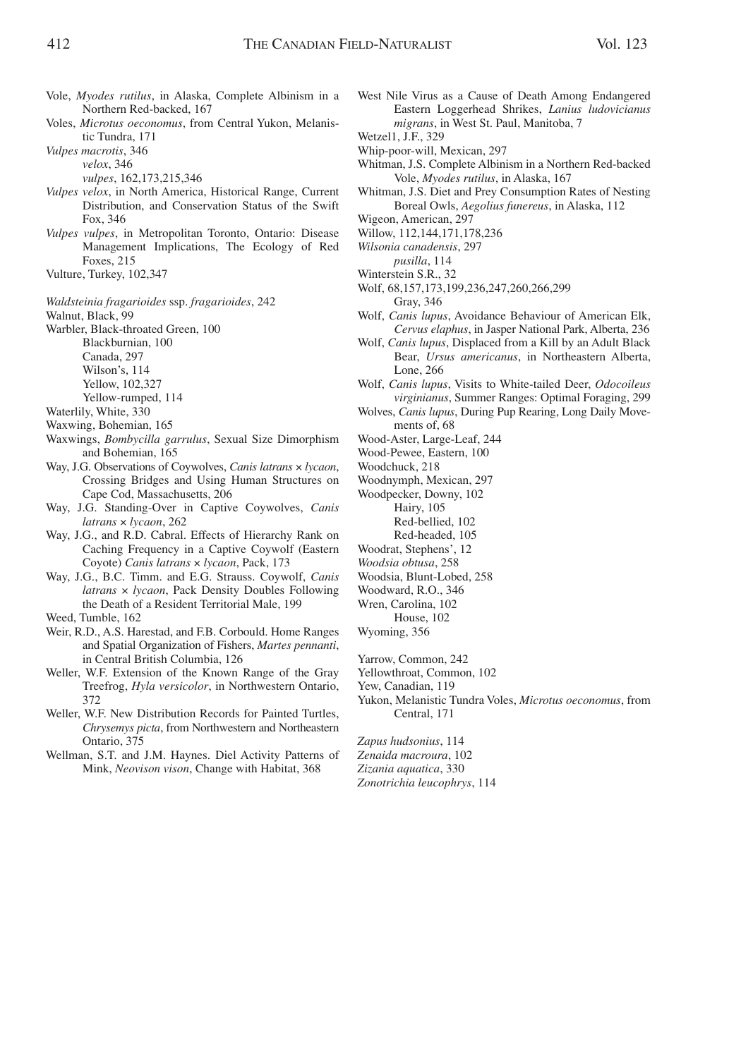- Vole, *Myodes rutilus*, in Alaska, Complete Albinism in a Northern Red-backed, 167
- Voles, *Microtus oeconomus*, from Central Yukon, Melanistic Tundra, 171
- *Vulpes macrotis*, 346
	- *velox*, 346
	- *vulpes*, 162,173,215,346
- *Vulpes velox*, in North America, Historical Range, Current Distribution, and Conservation Status of the Swift Fox, 346
- *Vulpes vulpes*, in Metropolitan Toronto, Ontario: Disease Management Implications, The Ecology of Red Foxes, 215
- Vulture, Turkey, 102,347
- *Waldsteinia fragarioides* ssp. *fragarioides*, 242

Walnut, Black, 99

Warbler, Black-throated Green, 100

Blackburnian, 100

- Canada, 297
- Wilson's, 114
- Yellow, 102,327
- Yellow-rumped, 114
- Waterlily, White, 330
- Waxwing, Bohemian, 165
- Waxwings, *Bombycilla garrulus*, Sexual Size Dimorphism and Bohemian, 165
- Way, J.G. Observations of Coywolves, *Canis latrans* × *lycaon*, Crossing Bridges and Using Human Structures on Cape Cod, Massachusetts, 206
- Way, J.G. Standing-Over in Captive Coywolves, *Canis latrans* × *lycaon*, 262
- Way, J.G., and R.D. Cabral. Effects of Hierarchy Rank on Caching Frequency in a Captive Coywolf (Eastern Coyote) *Canis latrans* × *lycaon*, Pack, 173
- Way, J.G., B.C. Timm. and E.G. Strauss. Coywolf, *Canis latrans* × *lycaon*, Pack Density Doubles Following the Death of a Resident Territorial Male, 199
- Weed, Tumble, 162
- Weir, R.D., A.S. Harestad, and F.B. Corbould. Home Ranges and Spatial Organization of Fishers, *Martes pennanti*, in Central British Columbia, 126
- Weller, W.F. Extension of the Known Range of the Gray Treefrog, *Hyla versicolor*, in Northwestern Ontario, 372
- Weller, W.F. New Distribution Records for Painted Turtles, *Chrysemys picta*, from Northwestern and Northeastern Ontario, 375
- Wellman, S.T. and J.M. Haynes. Diel Activity Patterns of Mink, *Neovison vison*, Change with Habitat, 368
- West Nile Virus as a Cause of Death Among Endangered Eastern Loggerhead Shrikes, *Lanius ludovicianus migrans*, in West St. Paul, Manitoba, 7
- Wetzel1, J.F., 329
- Whip-poor-will, Mexican, 297
- Whitman, J.S. Complete Albinism in a Northern Red-backed Vole, *Myodes rutilus*, in Alaska, 167
- Whitman, J.S. Diet and Prey Consumption Rates of Nesting Boreal Owls, *Aegolius funereus*, in Alaska, 112
- Wigeon, American, 297
- Willow, 112,144,171,178,236
- *Wilsonia canadensis*, 297
	- *pusilla*, 114
- Winterstein S.R., 32
- Wolf, 68,157,173,199,236,247,260,266,299
- Gray, 346 Wolf, *Canis lupus*, Avoidance Behaviour of American Elk,
- *Cervus elaphus*, in Jasper National Park, Alberta, 236 Wolf, *Canis lupus*, Displaced from a Kill by an Adult Black
- Bear, *Ursus americanus*, in Northeastern Alberta, Lone, 266
- Wolf, *Canis lupus*, Visits to White-tailed Deer, *Odocoileus virginianus*, Summer Ranges: Optimal Foraging, 299
- Wolves, *Canis lupus*, During Pup Rearing, Long Daily Movements of, 68
- Wood-Aster, Large-Leaf, 244
- Wood-Pewee, Eastern, 100

Woodchuck, 218

- Woodnymph, Mexican, 297
- Woodpecker, Downy, 102
	- Hairy, 105
	- Red-bellied, 102
- Red-headed, 105
- Woodrat, Stephens', 12
- *Woodsia obtusa*, 258
- Woodsia, Blunt-Lobed, 258
- Woodward, R.O., 346
- Wren, Carolina, 102 House, 102
- Wyoming, 356
- 

Yarrow, Common, 242

- Yellowthroat, Common, 102
- Yew, Canadian, 119
- Yukon, Melanistic Tundra Voles, *Microtus oeconomus*, from Central, 171

*Zapus hudsonius*, 114 *Zenaida macroura*, 102 *Zizania aquatica*, 330 *Zonotrichia leucophrys*, 114